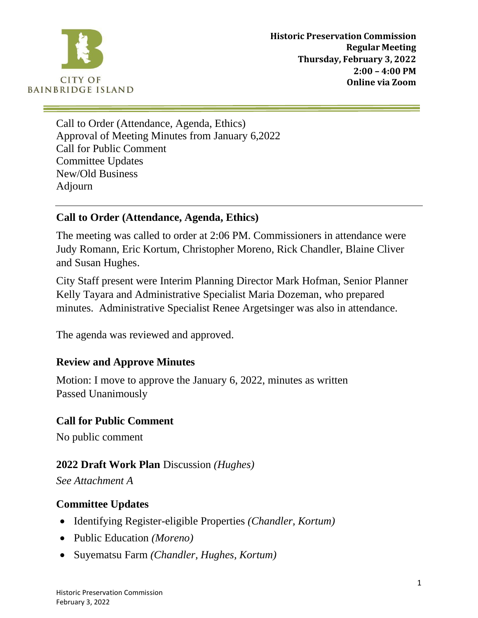

Call to Order (Attendance, Agenda, Ethics) Approval of Meeting Minutes from January 6,2022 Call for Public Comment Committee Updates New/Old Business Adjourn

#### **Call to Order (Attendance, Agenda, Ethics)**

The meeting was called to order at 2:06 PM. Commissioners in attendance were Judy Romann, Eric Kortum, Christopher Moreno, Rick Chandler, Blaine Cliver and Susan Hughes.

City Staff present were Interim Planning Director Mark Hofman, Senior Planner Kelly Tayara and Administrative Specialist Maria Dozeman, who prepared minutes. Administrative Specialist Renee Argetsinger was also in attendance.

The agenda was reviewed and approved.

## **Review and Approve Minutes**

Motion: I move to approve the January 6, 2022, minutes as written Passed Unanimously

#### **Call for Public Comment**

No public comment

#### **2022 Draft Work Plan** Discussion *(Hughes)*

*See Attachment A*

#### **Committee Updates**

- Identifying Register-eligible Properties *(Chandler, Kortum)*
- Public Education *(Moreno)*
- Suyematsu Farm *(Chandler, Hughes, Kortum)*